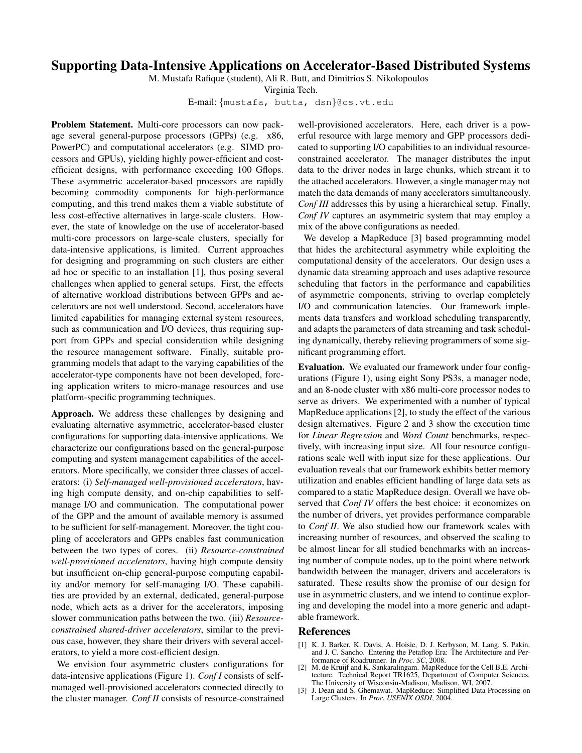## **Supporting Data-Intensive Applications on Accelerator-Based Distributed Systems**

M. Mustafa Rafique (student), Ali R. Butt, and Dimitrios S. Nikolopoulos

Virginia Tech.

E-mail: {mustafa, butta, dsn}@cs.vt.edu

**Problem Statement.** Multi-core processors can now package several general-purpose processors (GPPs) (e.g. x86, PowerPC) and computational accelerators (e.g. SIMD processors and GPUs), yielding highly power-efficient and costefficient designs, with performance exceeding 100 Gflops. These asymmetric accelerator-based processors are rapidly becoming commodity components for high-performance computing, and this trend makes them a viable substitute of less cost-effective alternatives in large-scale clusters. However, the state of knowledge on the use of accelerator-based multi-core processors on large-scale clusters, specially for data-intensive applications, is limited. Current approaches for designing and programming on such clusters are either ad hoc or specific to an installation [1], thus posing several challenges when applied to general setups. First, the effects of alternative workload distributions between GPPs and accelerators are not well understood. Second, accelerators have limited capabilities for managing external system resources, such as communication and I/O devices, thus requiring support from GPPs and special consideration while designing the resource management software. Finally, suitable programming models that adapt to the varying capabilities of the accelerator-type components have not been developed, forcing application writers to micro-manage resources and use platform-specific programming techniques.

**Approach.** We address these challenges by designing and evaluating alternative asymmetric, accelerator-based cluster configurations for supporting data-intensive applications. We characterize our configurations based on the general-purpose computing and system management capabilities of the accelerators. More specifically, we consider three classes of accelerators: (i) *Self-managed well-provisioned accelerators*, having high compute density, and on-chip capabilities to selfmanage I/O and communication. The computational power of the GPP and the amount of available memory is assumed to be sufficient for self-management. Moreover, the tight coupling of accelerators and GPPs enables fast communication between the two types of cores. (ii) *Resource-constrained well-provisioned accelerators*, having high compute density but insufficient on-chip general-purpose computing capability and/or memory for self-managing I/O. These capabilities are provided by an external, dedicated, general-purpose node, which acts as a driver for the accelerators, imposing slower communication paths between the two. (iii) *Resourceconstrained shared-driver accelerators*, similar to the previous case, however, they share their drivers with several accelerators, to yield a more cost-efficient design.

We envision four asymmetric clusters configurations for data-intensive applications (Figure 1). *Conf I* consists of selfmanaged well-provisioned accelerators connected directly to the cluster manager. *Conf II* consists of resource-constrained

well-provisioned accelerators. Here, each driver is a powerful resource with large memory and GPP processors dedicated to supporting I/O capabilities to an individual resourceconstrained accelerator. The manager distributes the input data to the driver nodes in large chunks, which stream it to the attached accelerators. However, a single manager may not match the data demands of many accelerators simultaneously. *Conf III* addresses this by using a hierarchical setup. Finally, *Conf IV* captures an asymmetric system that may employ a mix of the above configurations as needed.

We develop a MapReduce [3] based programming model that hides the architectural asymmetry while exploiting the computational density of the accelerators. Our design uses a dynamic data streaming approach and uses adaptive resource scheduling that factors in the performance and capabilities of asymmetric components, striving to overlap completely I/O and communication latencies. Our framework implements data transfers and workload scheduling transparently, and adapts the parameters of data streaming and task scheduling dynamically, thereby relieving programmers of some significant programming effort.

**Evaluation.** We evaluated our framework under four configurations (Figure 1), using eight Sony PS3s, a manager node, and an 8-node cluster with x86 multi-core processor nodes to serve as drivers. We experimented with a number of typical MapReduce applications [2], to study the effect of the various design alternatives. Figure 2 and 3 show the execution time for *Linear Regression* and *Word Count* benchmarks, respectively, with increasing input size. All four resource configurations scale well with input size for these applications. Our evaluation reveals that our framework exhibits better memory utilization and enables efficient handling of large data sets as compared to a static MapReduce design. Overall we have observed that *Conf IV* offers the best choice: it economizes on the number of drivers, yet provides performance comparable to *Conf II*. We also studied how our framework scales with increasing number of resources, and observed the scaling to be almost linear for all studied benchmarks with an increasing number of compute nodes, up to the point where network bandwidth between the manager, drivers and accelerators is saturated. These results show the promise of our design for use in asymmetric clusters, and we intend to continue exploring and developing the model into a more generic and adaptable framework.

## **References**

- [1] K. J. Barker, K. Davis, A. Hoisie, D. J. Kerbyson, M. Lang, S. Pakin, and J. C. Sancho. Entering the Petaflop Era: The Architecture and Performance of Roadrunner. In *Proc. SC*, 2008.
- [2] M. de Kruijf and K. Sankaralingam. MapReduce for the Cell B.E. Architecture. Technical Report TR1625, Department of Computer Sciences, The University of Wisconsin-Madison, Madison, WI, 2007.
- [3] J. Dean and S. Ghemawat. MapReduce: Simplified Data Processing on Large Clusters. In *Proc. USENIX OSDI*, 2004.